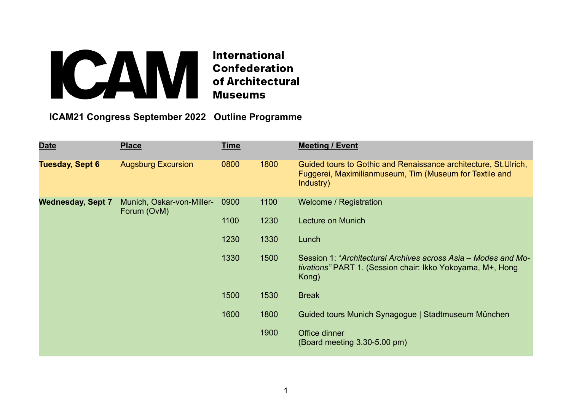## **Extracts de la confederation du Confederation du Confederation du Confederation du Confederation du Confederation du Confederation du Confederation du Confederation du Confederation du Confederation du Confederation du Co**

 **ICAM21 Congress September 2022 Outline Programme**

| <b>Date</b>              | <b>Place</b>                             | <b>Time</b> |      | <b>Meeting / Event</b>                                                                                                                   |
|--------------------------|------------------------------------------|-------------|------|------------------------------------------------------------------------------------------------------------------------------------------|
| <b>Tuesday, Sept 6</b>   | <b>Augsburg Excursion</b>                | 0800        | 1800 | Guided tours to Gothic and Renaissance architecture, St. Ulrich,<br>Fuggerei, Maximilianmuseum, Tim (Museum for Textile and<br>Industry) |
| <b>Wednesday, Sept 7</b> | Munich, Oskar-von-Miller-<br>Forum (OvM) | 0900        | 1100 | Welcome / Registration                                                                                                                   |
|                          |                                          | 1100        | 1230 | Lecture on Munich                                                                                                                        |
|                          |                                          | 1230        | 1330 | Lunch                                                                                                                                    |
|                          |                                          | 1330        | 1500 | Session 1: "Architectural Archives across Asia – Modes and Mo-<br>tivations" PART 1. (Session chair: Ikko Yokoyama, M+, Hong<br>Kong)    |
|                          |                                          | 1500        | 1530 | <b>Break</b>                                                                                                                             |
|                          |                                          | 1600        | 1800 | Guided tours Munich Synagogue   Stadtmuseum München                                                                                      |
|                          |                                          |             | 1900 | Office dinner<br>$(Board meeting 3.30-5.00 pm)$                                                                                          |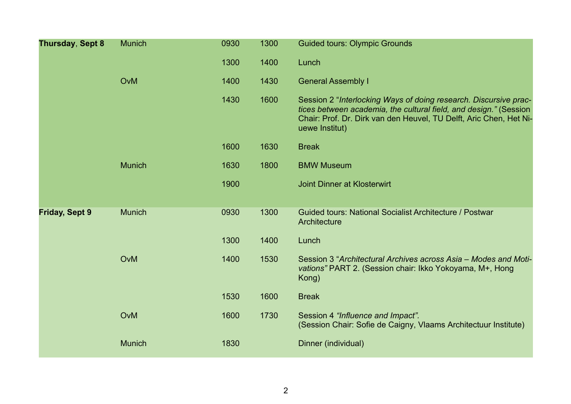| Thursday, Sept 8      | <b>Munich</b> | 0930 | 1300 | <b>Guided tours: Olympic Grounds</b>                                                                                                                                                                                          |
|-----------------------|---------------|------|------|-------------------------------------------------------------------------------------------------------------------------------------------------------------------------------------------------------------------------------|
|                       |               | 1300 | 1400 | Lunch                                                                                                                                                                                                                         |
|                       | OvM           | 1400 | 1430 | <b>General Assembly I</b>                                                                                                                                                                                                     |
|                       |               | 1430 | 1600 | Session 2 "Interlocking Ways of doing research. Discursive prac-<br>tices between academia, the cultural field, and design." (Session<br>Chair: Prof. Dr. Dirk van den Heuvel, TU Delft, Aric Chen, Het Ni-<br>uewe Institut) |
|                       |               | 1600 | 1630 | <b>Break</b>                                                                                                                                                                                                                  |
|                       | <b>Munich</b> | 1630 | 1800 | <b>BMW Museum</b>                                                                                                                                                                                                             |
|                       |               | 1900 |      | <b>Joint Dinner at Klosterwirt</b>                                                                                                                                                                                            |
|                       |               |      |      |                                                                                                                                                                                                                               |
| <b>Friday, Sept 9</b> | <b>Munich</b> | 0930 | 1300 | Guided tours: National Socialist Architecture / Postwar<br>Architecture                                                                                                                                                       |
|                       |               | 1300 | 1400 | Lunch                                                                                                                                                                                                                         |
|                       | OvM           | 1400 | 1530 | Session 3 "Architectural Archives across Asia - Modes and Moti-<br>vations" PART 2. (Session chair: Ikko Yokoyama, M+, Hong<br>Kong)                                                                                          |
|                       |               | 1530 | 1600 | <b>Break</b>                                                                                                                                                                                                                  |
|                       | OvM           | 1600 | 1730 | Session 4 "Influence and Impact".<br>(Session Chair: Sofie de Caigny, Vlaams Architectuur Institute)                                                                                                                          |
|                       | <b>Munich</b> | 1830 |      | Dinner (individual)                                                                                                                                                                                                           |